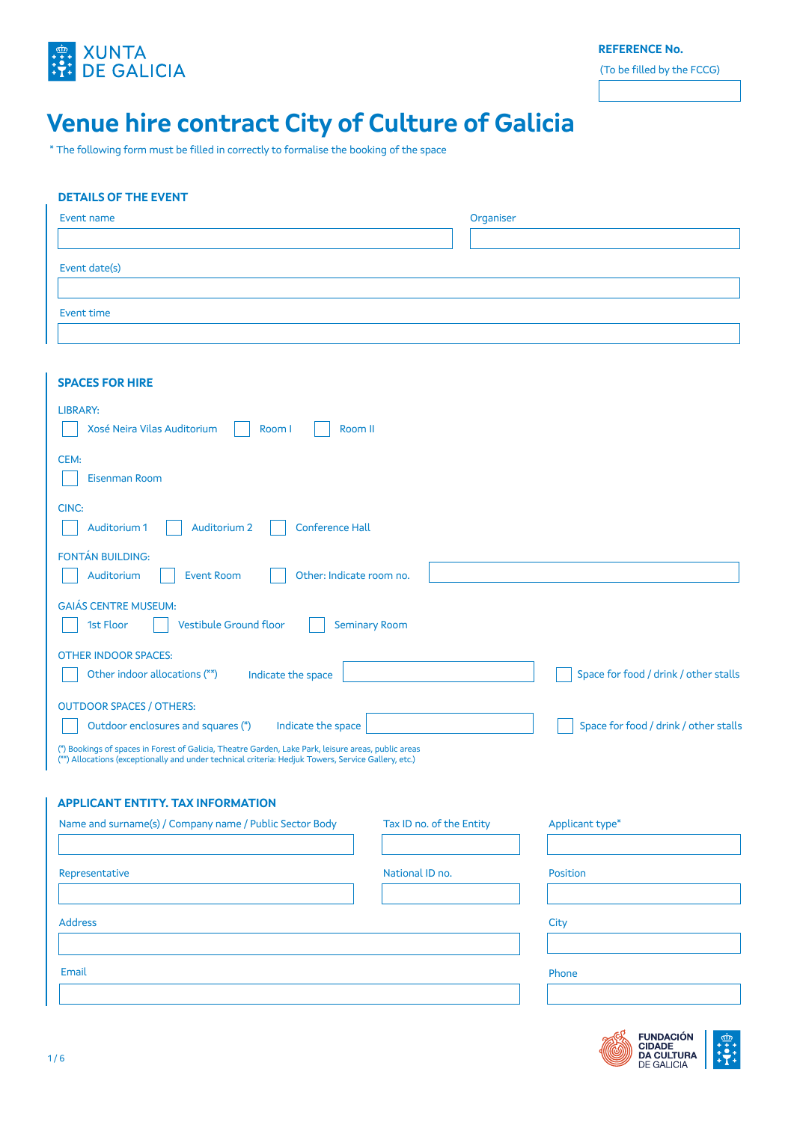

**REFERENCE No.**

(To be filled by the FCCG)

# **Venue hire contract City of Culture of Galicia**

\* The following form must be filled in correctly to formalise the booking of the space

## **DETAILS OF THE EVENT**

| Event name    | Organiser |
|---------------|-----------|
|               |           |
| Event date(s) |           |
|               |           |
| Event time    |           |
|               |           |

| <b>SPACES FOR HIRE</b>                                                                                                                                                                                     |                          |                                       |
|------------------------------------------------------------------------------------------------------------------------------------------------------------------------------------------------------------|--------------------------|---------------------------------------|
|                                                                                                                                                                                                            |                          |                                       |
| <b>LIBRARY:</b><br>Xosé Neira Vilas Auditorium<br>Room I<br>Room II                                                                                                                                        |                          |                                       |
| CEM:<br>Eisenman Room                                                                                                                                                                                      |                          |                                       |
| CINC:<br>Auditorium 2<br><b>Conference Hall</b><br>Auditorium 1                                                                                                                                            |                          |                                       |
| FONTÁN BUILDING:<br><b>Event Room</b><br>Other: Indicate room no.<br>Auditorium                                                                                                                            |                          |                                       |
| <b>GAIÁS CENTRE MUSEUM:</b><br>1st Floor<br><b>Vestibule Ground floor</b><br><b>Seminary Room</b>                                                                                                          |                          |                                       |
| <b>OTHER INDOOR SPACES:</b><br>Other indoor allocations (**)<br>Indicate the space                                                                                                                         |                          | Space for food / drink / other stalls |
| <b>OUTDOOR SPACES / OTHERS:</b><br>Outdoor enclosures and squares (*)<br>Indicate the space                                                                                                                |                          | Space for food / drink / other stalls |
| (*) Bookings of spaces in Forest of Galicia, Theatre Garden, Lake Park, leisure areas, public areas<br>(**) Allocations (exceptionally and under technical criteria: Hedjuk Towers, Service Gallery, etc.) |                          |                                       |
| <b>APPLICANT ENTITY, TAX INFORMATION</b>                                                                                                                                                                   |                          |                                       |
| Name and surname(s) / Company name / Public Sector Body                                                                                                                                                    | Tax ID no. of the Entity | Applicant type*                       |
| Representative                                                                                                                                                                                             | National ID no.          | <b>Position</b>                       |
| <b>Address</b>                                                                                                                                                                                             |                          | City                                  |
|                                                                                                                                                                                                            |                          |                                       |
| Email                                                                                                                                                                                                      |                          | Phone                                 |
|                                                                                                                                                                                                            |                          |                                       |
|                                                                                                                                                                                                            |                          | - ~                                   |

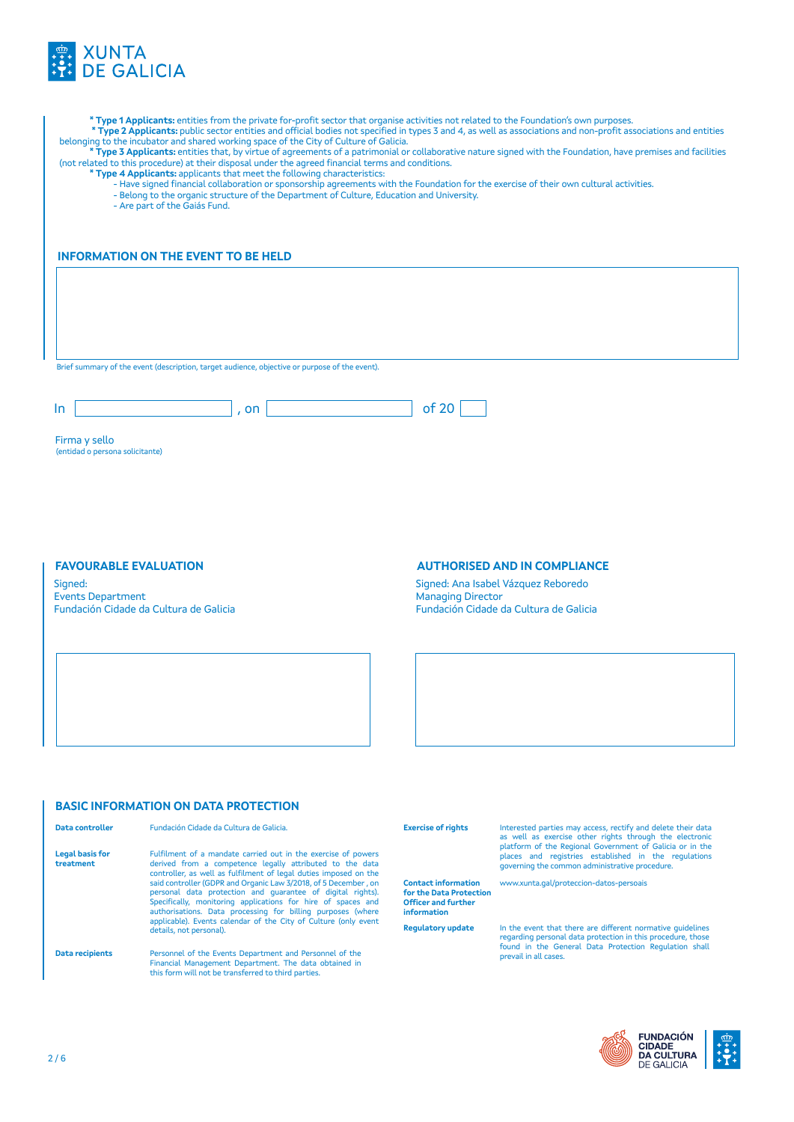

| * Type 1 Applicants: entities from the private for-profit sector that organise activities not related to the Foundation's own purposes.<br>* Type 2 Applicants: public sector entities and official bodies not specified in types 3 and 4, as well as associations and non-profit associations and entities<br>belonging to the incubator and shared working space of the City of Culture of Galicia.<br>* Type 3 Applicants: entities that, by virtue of agreements of a patrimonial or collaborative nature signed with the Foundation, have premises and facilities<br>(not related to this procedure) at their disposal under the agreed financial terms and conditions.<br>* Type 4 Applicants: applicants that meet the following characteristics:<br>- Have signed financial collaboration or sponsorship agreements with the Foundation for the exercise of their own cultural activities.<br>- Belong to the organic structure of the Department of Culture, Education and University.<br>- Are part of the Gaiás Fund. |                                                                                                    |  |  |  |  |
|----------------------------------------------------------------------------------------------------------------------------------------------------------------------------------------------------------------------------------------------------------------------------------------------------------------------------------------------------------------------------------------------------------------------------------------------------------------------------------------------------------------------------------------------------------------------------------------------------------------------------------------------------------------------------------------------------------------------------------------------------------------------------------------------------------------------------------------------------------------------------------------------------------------------------------------------------------------------------------------------------------------------------------|----------------------------------------------------------------------------------------------------|--|--|--|--|
|                                                                                                                                                                                                                                                                                                                                                                                                                                                                                                                                                                                                                                                                                                                                                                                                                                                                                                                                                                                                                                  | <b>INFORMATION ON THE EVENT TO BE HELD</b><br>of 20<br>, on<br><b>AUTHORISED AND IN COMPLIANCE</b> |  |  |  |  |
|                                                                                                                                                                                                                                                                                                                                                                                                                                                                                                                                                                                                                                                                                                                                                                                                                                                                                                                                                                                                                                  |                                                                                                    |  |  |  |  |
|                                                                                                                                                                                                                                                                                                                                                                                                                                                                                                                                                                                                                                                                                                                                                                                                                                                                                                                                                                                                                                  |                                                                                                    |  |  |  |  |
|                                                                                                                                                                                                                                                                                                                                                                                                                                                                                                                                                                                                                                                                                                                                                                                                                                                                                                                                                                                                                                  |                                                                                                    |  |  |  |  |
|                                                                                                                                                                                                                                                                                                                                                                                                                                                                                                                                                                                                                                                                                                                                                                                                                                                                                                                                                                                                                                  |                                                                                                    |  |  |  |  |
|                                                                                                                                                                                                                                                                                                                                                                                                                                                                                                                                                                                                                                                                                                                                                                                                                                                                                                                                                                                                                                  |                                                                                                    |  |  |  |  |
| Brief summary of the event (description, target audience, objective or purpose of the event).                                                                                                                                                                                                                                                                                                                                                                                                                                                                                                                                                                                                                                                                                                                                                                                                                                                                                                                                    |                                                                                                    |  |  |  |  |
|                                                                                                                                                                                                                                                                                                                                                                                                                                                                                                                                                                                                                                                                                                                                                                                                                                                                                                                                                                                                                                  |                                                                                                    |  |  |  |  |
| In.                                                                                                                                                                                                                                                                                                                                                                                                                                                                                                                                                                                                                                                                                                                                                                                                                                                                                                                                                                                                                              |                                                                                                    |  |  |  |  |
|                                                                                                                                                                                                                                                                                                                                                                                                                                                                                                                                                                                                                                                                                                                                                                                                                                                                                                                                                                                                                                  |                                                                                                    |  |  |  |  |
| Firma y sello                                                                                                                                                                                                                                                                                                                                                                                                                                                                                                                                                                                                                                                                                                                                                                                                                                                                                                                                                                                                                    |                                                                                                    |  |  |  |  |
| (entidad o persona solicitante)                                                                                                                                                                                                                                                                                                                                                                                                                                                                                                                                                                                                                                                                                                                                                                                                                                                                                                                                                                                                  |                                                                                                    |  |  |  |  |
|                                                                                                                                                                                                                                                                                                                                                                                                                                                                                                                                                                                                                                                                                                                                                                                                                                                                                                                                                                                                                                  |                                                                                                    |  |  |  |  |
|                                                                                                                                                                                                                                                                                                                                                                                                                                                                                                                                                                                                                                                                                                                                                                                                                                                                                                                                                                                                                                  |                                                                                                    |  |  |  |  |
|                                                                                                                                                                                                                                                                                                                                                                                                                                                                                                                                                                                                                                                                                                                                                                                                                                                                                                                                                                                                                                  |                                                                                                    |  |  |  |  |
|                                                                                                                                                                                                                                                                                                                                                                                                                                                                                                                                                                                                                                                                                                                                                                                                                                                                                                                                                                                                                                  |                                                                                                    |  |  |  |  |
|                                                                                                                                                                                                                                                                                                                                                                                                                                                                                                                                                                                                                                                                                                                                                                                                                                                                                                                                                                                                                                  |                                                                                                    |  |  |  |  |
| <b>FAVOURABLE EVALUATION</b>                                                                                                                                                                                                                                                                                                                                                                                                                                                                                                                                                                                                                                                                                                                                                                                                                                                                                                                                                                                                     |                                                                                                    |  |  |  |  |

Signed: Events Department Fundación Cidade da Cultura de Galicia

## **AUTHORISED AND IN COMPLIANCE**

Signed: Ana Isabel Vázquez Reboredo Managing Director Fundación Cidade da Cultura de Galicia

## **BASIC INFORMATION ON DATA PROTECTION**

|  | Data controller                                                                                         | Fundación Cidade da Cultura de Galicia.                                                                                                                                                                                                                      | <b>Exercise of rights</b>                                                                          | Interested parties may access, rectify and delete their data<br>as well as exercise other rights through the electronic                                            |  |
|--|---------------------------------------------------------------------------------------------------------|--------------------------------------------------------------------------------------------------------------------------------------------------------------------------------------------------------------------------------------------------------------|----------------------------------------------------------------------------------------------------|--------------------------------------------------------------------------------------------------------------------------------------------------------------------|--|
|  | <b>Legal basis for</b><br>treatment<br>controller, as well as fulfilment of legal duties imposed on the | Fulfilment of a mandate carried out in the exercise of powers<br>derived from a competence legally attributed to the data                                                                                                                                    |                                                                                                    | platform of the Regional Government of Galicia or in the<br>places and registries established in the regulations<br>governing the common administrative procedure. |  |
|  |                                                                                                         | said controller (GDPR and Organic Law 3/2018, of 5 December, on<br>personal data protection and quarantee of digital rights).<br>Specifically, monitoring applications for hire of spaces and<br>authorisations. Data processing for billing purposes (where | <b>Contact information</b><br>for the Data Protection<br><b>Officer and further</b><br>information | www.xunta.gal/proteccion-datos-persoais                                                                                                                            |  |
|  |                                                                                                         | applicable). Events calendar of the City of Culture (only event<br>details, not personal).                                                                                                                                                                   | <b>Requlatory update</b>                                                                           | In the event that there are different normative quidelines<br>regarding personal data protection in this procedure, those                                          |  |
|  | Data recipients                                                                                         | Personnel of the Events Department and Personnel of the<br>Financial Management Department. The data obtained in<br>this form will not be transferred to third parties.                                                                                      |                                                                                                    | found in the General Data Protection Regulation shall<br>prevail in all cases.                                                                                     |  |

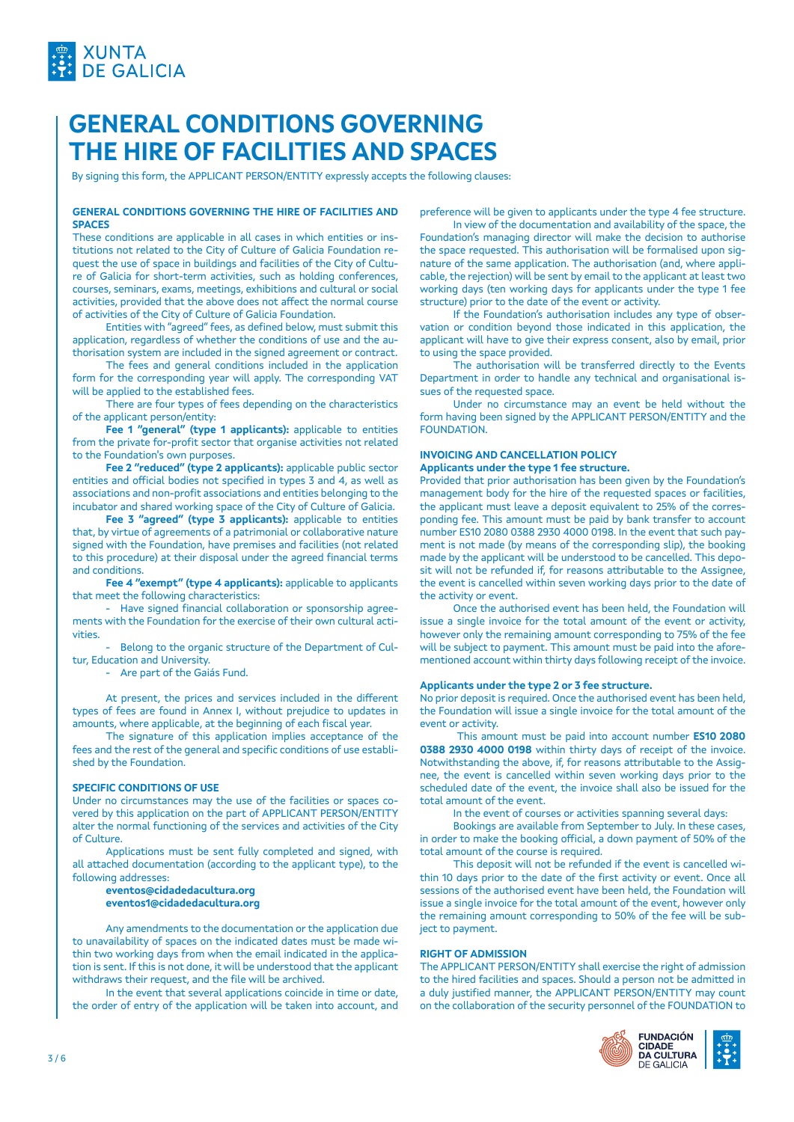

## **GENERAL CONDITIONS GOVERNING THE HIRE OF FACILITIES AND SPACES**

By signing this form, the APPLICANT PERSON/ENTITY expressly accepts the following clauses:

#### **GENERAL CONDITIONS GOVERNING THE HIRE OF FACILITIES AND SPACES**

These conditions are applicable in all cases in which entities or institutions not related to the City of Culture of Galicia Foundation request the use of space in buildings and facilities of the City of Culture of Galicia for short-term activities, such as holding conferences, courses, seminars, exams, meetings, exhibitions and cultural or social activities, provided that the above does not affect the normal course of activities of the City of Culture of Galicia Foundation.

Entities with "agreed" fees, as defined below, must submit this application, regardless of whether the conditions of use and the authorisation system are included in the signed agreement or contract.

The fees and general conditions included in the application form for the corresponding year will apply. The corresponding VAT will be applied to the established fees.

There are four types of fees depending on the characteristics of the applicant person/entity:

**Fee 1 "general" (type 1 applicants):** applicable to entities from the private for-profit sector that organise activities not related to the Foundation's own purposes.

**Fee 2 "reduced" (type 2 applicants):** applicable public sector entities and official bodies not specified in types 3 and 4, as well as associations and non-profit associations and entities belonging to the incubator and shared working space of the City of Culture of Galicia.

**Fee 3 "agreed" (type 3 applicants):** applicable to entities that, by virtue of agreements of a patrimonial or collaborative nature signed with the Foundation, have premises and facilities (not related to this procedure) at their disposal under the agreed financial terms and conditions.

**Fee 4 "exempt" (type 4 applicants):** applicable to applicants that meet the following characteristics:

- Have signed financial collaboration or sponsorship agreements with the Foundation for the exercise of their own cultural activities.

- Belong to the organic structure of the Department of Cultur, Education and University.

- Are part of the Gaiás Fund.

At present, the prices and services included in the different types of fees are found in Annex I, without prejudice to updates in amounts, where applicable, at the beginning of each fiscal year.

The signature of this application implies acceptance of the fees and the rest of the general and specific conditions of use established by the Foundation.

#### **SPECIFIC CONDITIONS OF USE**

Under no circumstances may the use of the facilities or spaces covered by this application on the part of APPLICANT PERSON/ENTITY alter the normal functioning of the services and activities of the City of Culture.

Applications must be sent fully completed and signed, with all attached documentation (according to the applicant type), to the following addresses:

**eventos@cidadedacultura.org eventos1@cidadedacultura.org**

Any amendments to the documentation or the application due to unavailability of spaces on the indicated dates must be made within two working days from when the email indicated in the application is sent. If this is not done, it will be understood that the applicant withdraws their request, and the file will be archived.

In the event that several applications coincide in time or date, the order of entry of the application will be taken into account, and preference will be given to applicants under the type 4 fee structure.

In view of the documentation and availability of the space, the Foundation's managing director will make the decision to authorise the space requested. This authorisation will be formalised upon signature of the same application. The authorisation (and, where applicable, the rejection) will be sent by email to the applicant at least two working days (ten working days for applicants under the type 1 fee structure) prior to the date of the event or activity.

If the Foundation's authorisation includes any type of observation or condition beyond those indicated in this application, the applicant will have to give their express consent, also by email, prior to using the space provided.

The authorisation will be transferred directly to the Events Department in order to handle any technical and organisational issues of the requested space.

Under no circumstance may an event be held without the form having been signed by the APPLICANT PERSON/ENTITY and the FOUNDATION.

## **INVOICING AND CANCELLATION POLICY**

## **Applicants under the type 1 fee structure.**

Provided that prior authorisation has been given by the Foundation's management body for the hire of the requested spaces or facilities, the applicant must leave a deposit equivalent to 25% of the corresponding fee. This amount must be paid by bank transfer to account number ES10 2080 0388 2930 4000 0198. In the event that such payment is not made (by means of the corresponding slip), the booking made by the applicant will be understood to be cancelled. This deposit will not be refunded if, for reasons attributable to the Assignee, the event is cancelled within seven working days prior to the date of the activity or event.

Once the authorised event has been held, the Foundation will issue a single invoice for the total amount of the event or activity, however only the remaining amount corresponding to 75% of the fee will be subject to payment. This amount must be paid into the aforementioned account within thirty days following receipt of the invoice.

## **Applicants under the type 2 or 3 fee structure.**

No prior deposit is required. Once the authorised event has been held, the Foundation will issue a single invoice for the total amount of the event or activity.

 This amount must be paid into account number **ES10 2080 0388 2930 4000 0198** within thirty days of receipt of the invoice. Notwithstanding the above, if, for reasons attributable to the Assignee, the event is cancelled within seven working days prior to the scheduled date of the event, the invoice shall also be issued for the total amount of the event.

In the event of courses or activities spanning several days:

Bookings are available from September to July. In these cases, in order to make the booking official, a down payment of 50% of the total amount of the course is required.

This deposit will not be refunded if the event is cancelled within 10 days prior to the date of the first activity or event. Once all sessions of the authorised event have been held, the Foundation will issue a single invoice for the total amount of the event, however only the remaining amount corresponding to 50% of the fee will be subject to payment.

#### **RIGHT OF ADMISSION**

The APPLICANT PERSON/ENTITY shall exercise the right of admission to the hired facilities and spaces. Should a person not be admitted in a duly justified manner, the APPLICANT PERSON/ENTITY may count on the collaboration of the security personnel of the FOUNDATION to

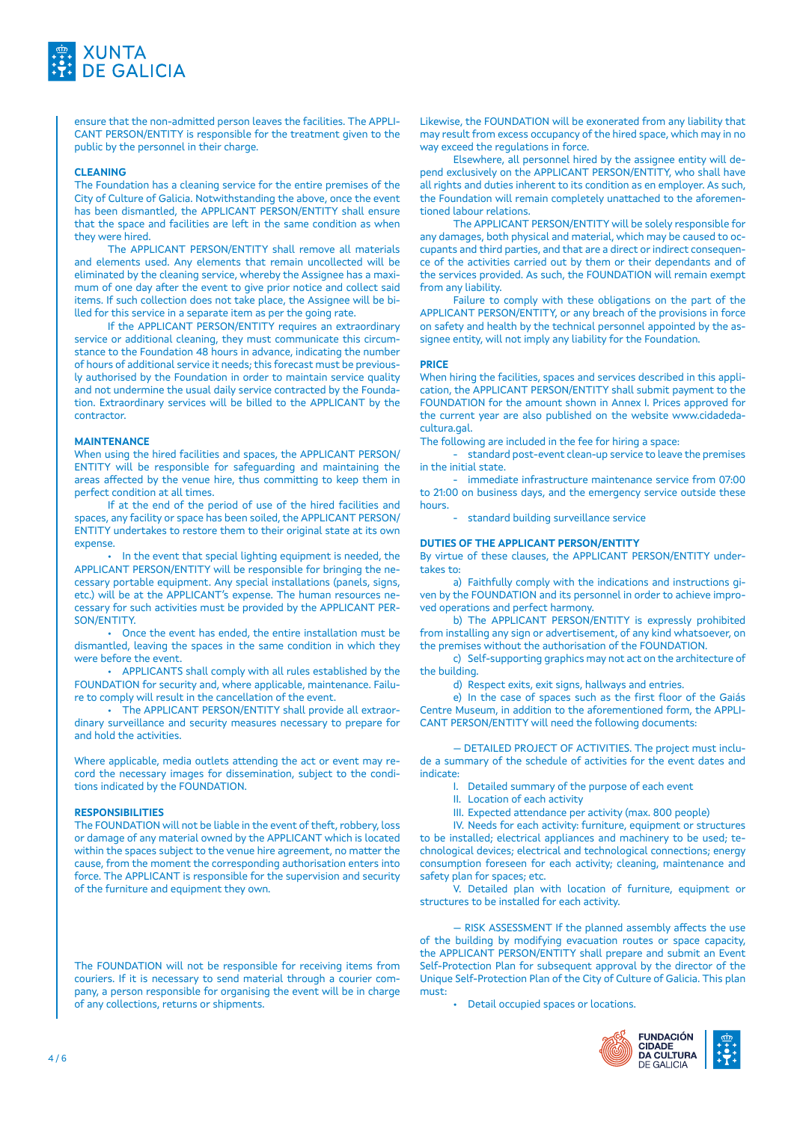

ensure that the non-admitted person leaves the facilities. The APPLI-CANT PERSON/ENTITY is responsible for the treatment given to the public by the personnel in their charge.

#### **CLEANING**

The Foundation has a cleaning service for the entire premises of the City of Culture of Galicia. Notwithstanding the above, once the event has been dismantled, the APPLICANT PERSON/ENTITY shall ensure that the space and facilities are left in the same condition as when they were hired.

The APPLICANT PERSON/ENTITY shall remove all materials and elements used. Any elements that remain uncollected will be eliminated by the cleaning service, whereby the Assignee has a maximum of one day after the event to give prior notice and collect said items. If such collection does not take place, the Assignee will be billed for this service in a separate item as per the going rate.

If the APPLICANT PERSON/ENTITY requires an extraordinary service or additional cleaning, they must communicate this circumstance to the Foundation 48 hours in advance, indicating the number of hours of additional service it needs; this forecast must be previously authorised by the Foundation in order to maintain service quality and not undermine the usual daily service contracted by the Foundation. Extraordinary services will be billed to the APPLICANT by the contractor.

#### **MAINTENANCE**

When using the hired facilities and spaces, the APPLICANT PERSON/ ENTITY will be responsible for safeguarding and maintaining the areas affected by the venue hire, thus committing to keep them in perfect condition at all times.

If at the end of the period of use of the hired facilities and spaces, any facility or space has been soiled, the APPLICANT PERSON/ ENTITY undertakes to restore them to their original state at its own expense.

• In the event that special lighting equipment is needed, the APPLICANT PERSON/ENTITY will be responsible for bringing the necessary portable equipment. Any special installations (panels, signs, etc.) will be at the APPLICANT's expense. The human resources necessary for such activities must be provided by the APPLICANT PER-SON/ENTITY.

• Once the event has ended, the entire installation must be dismantled, leaving the spaces in the same condition in which they were before the event.

• APPLICANTS shall comply with all rules established by the FOUNDATION for security and, where applicable, maintenance. Failure to comply will result in the cancellation of the event.

The APPLICANT PERSON/ENTITY shall provide all extraordinary surveillance and security measures necessary to prepare for and hold the activities.

Where applicable, media outlets attending the act or event may record the necessary images for dissemination, subject to the conditions indicated by the FOUNDATION.

#### **RESPONSIBILITIES**

The FOUNDATION will not be liable in the event of theft, robbery, loss or damage of any material owned by the APPLICANT which is located within the spaces subject to the venue hire agreement, no matter the cause, from the moment the corresponding authorisation enters into force. The APPLICANT is responsible for the supervision and security of the furniture and equipment they own.

The FOUNDATION will not be responsible for receiving items from couriers. If it is necessary to send material through a courier company, a person responsible for organising the event will be in charge of any collections, returns or shipments.

Likewise, the FOUNDATION will be exonerated from any liability that may result from excess occupancy of the hired space, which may in no way exceed the regulations in force.

Elsewhere, all personnel hired by the assignee entity will depend exclusively on the APPLICANT PERSON/ENTITY, who shall have all rights and duties inherent to its condition as en employer. As such, the Foundation will remain completely unattached to the aforementioned labour relations.

The APPLICANT PERSON/ENTITY will be solely responsible for any damages, both physical and material, which may be caused to occupants and third parties, and that are a direct or indirect consequence of the activities carried out by them or their dependants and of the services provided. As such, the FOUNDATION will remain exempt from any liability.

Failure to comply with these obligations on the part of the APPLICANT PERSON/ENTITY, or any breach of the provisions in force on safety and health by the technical personnel appointed by the assignee entity, will not imply any liability for the Foundation.

#### **PRICE**

When hiring the facilities, spaces and services described in this application, the APPLICANT PERSON/ENTITY shall submit payment to the FOUNDATION for the amount shown in Annex I. Prices approved for the current year are also published on the website www.cidadedacultura.gal.

The following are included in the fee for hiring a space:

- standard post-event clean-up service to leave the premises in the initial state.

- immediate infrastructure maintenance service from 07:00 to 21:00 on business days, and the emergency service outside these hours.

- standard building surveillance service

#### **DUTIES OF THE APPLICANT PERSON/ENTITY**

By virtue of these clauses, the APPLICANT PERSON/ENTITY undertakes to:

a) Faithfully comply with the indications and instructions given by the FOUNDATION and its personnel in order to achieve improved operations and perfect harmony.

b) The APPLICANT PERSON/ENTITY is expressly prohibited from installing any sign or advertisement, of any kind whatsoever, on the premises without the authorisation of the FOUNDATION.

c) Self-supporting graphics may not act on the architecture of the building.

d) Respect exits, exit signs, hallways and entries.

e) In the case of spaces such as the first floor of the Gaiás Centre Museum, in addition to the aforementioned form, the APPLI-CANT PERSON/ENTITY will need the following documents:

— DETAILED PROJECT OF ACTIVITIES. The project must include a summary of the schedule of activities for the event dates and indicate:

I. Detailed summary of the purpose of each event

- II. Location of each activity
- III. Expected attendance per activity (max. 800 people)

IV. Needs for each activity: furniture, equipment or structures to be installed; electrical appliances and machinery to be used; technological devices; electrical and technological connections; energy consumption foreseen for each activity; cleaning, maintenance and safety plan for spaces; etc.

V. Detailed plan with location of furniture, equipment or structures to be installed for each activity.

— RISK ASSESSMENT If the planned assembly affects the use of the building by modifying evacuation routes or space capacity, the APPLICANT PERSON/ENTITY shall prepare and submit an Event Self-Protection Plan for subsequent approval by the director of the Unique Self-Protection Plan of the City of Culture of Galicia. This plan must:

• Detail occupied spaces or locations.

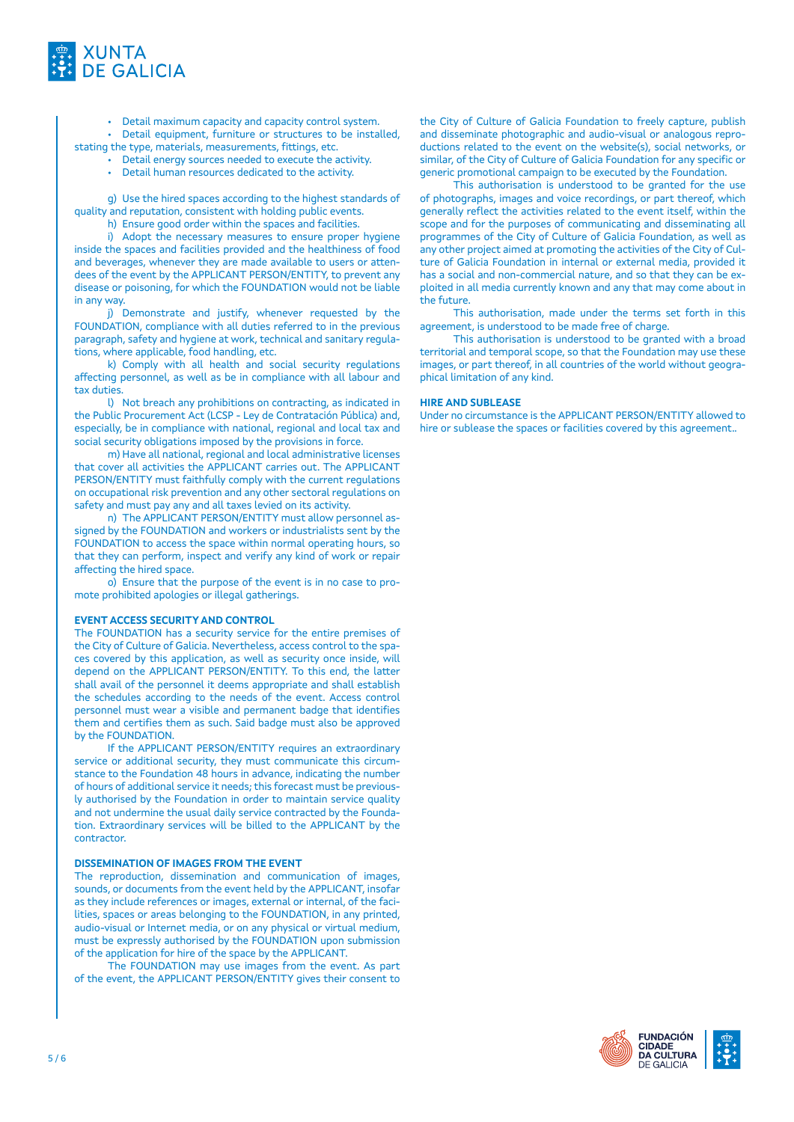

• Detail maximum capacity and capacity control system.

• Detail equipment, furniture or structures to be installed, stating the type, materials, measurements, fittings, etc.

- Detail energy sources needed to execute the activity.
- Detail human resources dedicated to the activity.

g) Use the hired spaces according to the highest standards of quality and reputation, consistent with holding public events.

h) Ensure good order within the spaces and facilities.

i) Adopt the necessary measures to ensure proper hygiene inside the spaces and facilities provided and the healthiness of food and beverages, whenever they are made available to users or attendees of the event by the APPLICANT PERSON/ENTITY, to prevent any disease or poisoning, for which the FOUNDATION would not be liable in any way.

j) Demonstrate and justify, whenever requested by the FOUNDATION, compliance with all duties referred to in the previous paragraph, safety and hygiene at work, technical and sanitary regulations, where applicable, food handling, etc.

k) Comply with all health and social security regulations affecting personnel, as well as be in compliance with all labour and tax duties.

l) Not breach any prohibitions on contracting, as indicated in the Public Procurement Act (LCSP - Ley de Contratación Pública) and, especially, be in compliance with national, regional and local tax and social security obligations imposed by the provisions in force.

m) Have all national, regional and local administrative licenses that cover all activities the APPLICANT carries out. The APPLICANT PERSON/ENTITY must faithfully comply with the current regulations on occupational risk prevention and any other sectoral regulations on safety and must pay any and all taxes levied on its activity.

n) The APPLICANT PERSON/ENTITY must allow personnel assigned by the FOUNDATION and workers or industrialists sent by the FOUNDATION to access the space within normal operating hours, so that they can perform, inspect and verify any kind of work or repair affecting the hired space.

o) Ensure that the purpose of the event is in no case to promote prohibited apologies or illegal gatherings.

#### **EVENT ACCESS SECURITY AND CONTROL**

The FOUNDATION has a security service for the entire premises of the City of Culture of Galicia. Nevertheless, access control to the spaces covered by this application, as well as security once inside, will depend on the APPLICANT PERSON/ENTITY. To this end, the latter shall avail of the personnel it deems appropriate and shall establish the schedules according to the needs of the event. Access control personnel must wear a visible and permanent badge that identifies them and certifies them as such. Said badge must also be approved by the FOUNDATION.

If the APPLICANT PERSON/ENTITY requires an extraordinary service or additional security, they must communicate this circumstance to the Foundation 48 hours in advance, indicating the number of hours of additional service it needs; this forecast must be previously authorised by the Foundation in order to maintain service quality and not undermine the usual daily service contracted by the Foundation. Extraordinary services will be billed to the APPLICANT by the contractor.

#### **DISSEMINATION OF IMAGES FROM THE EVENT**

The reproduction, dissemination and communication of images, sounds, or documents from the event held by the APPLICANT, insofar as they include references or images, external or internal, of the facilities, spaces or areas belonging to the FOUNDATION, in any printed, audio-visual or Internet media, or on any physical or virtual medium, must be expressly authorised by the FOUNDATION upon submission of the application for hire of the space by the APPLICANT.

The FOUNDATION may use images from the event. As part of the event, the APPLICANT PERSON/ENTITY gives their consent to

the City of Culture of Galicia Foundation to freely capture, publish and disseminate photographic and audio-visual or analogous reproductions related to the event on the website(s), social networks, or similar, of the City of Culture of Galicia Foundation for any specific or generic promotional campaign to be executed by the Foundation.

This authorisation is understood to be granted for the use of photographs, images and voice recordings, or part thereof, which generally reflect the activities related to the event itself, within the scope and for the purposes of communicating and disseminating all programmes of the City of Culture of Galicia Foundation, as well as any other project aimed at promoting the activities of the City of Culture of Galicia Foundation in internal or external media, provided it has a social and non-commercial nature, and so that they can be exploited in all media currently known and any that may come about in the future.

This authorisation, made under the terms set forth in this agreement, is understood to be made free of charge.

This authorisation is understood to be granted with a broad territorial and temporal scope, so that the Foundation may use these images, or part thereof, in all countries of the world without geographical limitation of any kind.

#### **HIRE AND SUBLEASE**

Under no circumstance is the APPLICANT PERSON/ENTITY allowed to hire or sublease the spaces or facilities covered by this agreement..